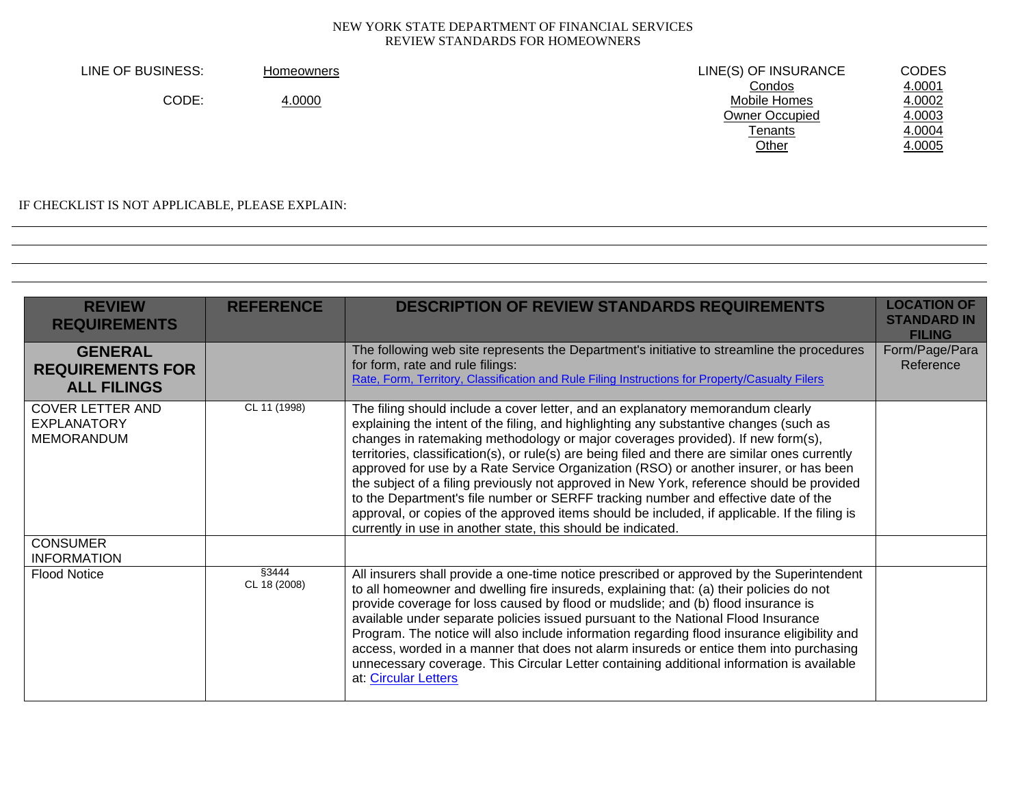| LINE OF BUSINESS: | <b>Homeowners</b> | LINE(S) OF INSURANCE | CODES  |
|-------------------|-------------------|----------------------|--------|
|                   |                   | Condos               | 4.0001 |
| CODE:             | 4.0000            | Mobile Homes         | 4.0002 |
|                   |                   | Owner Occupied       | 4.0003 |
|                   |                   | Tenants              | 4.0004 |
|                   |                   | Other                | 4.0005 |
|                   |                   |                      |        |

IF CHECKLIST IS NOT APPLICABLE, PLEASE EXPLAIN:

| <b>REVIEW</b><br><b>REQUIREMENTS</b><br><b>GENERAL</b>             | <b>REFERENCE</b>      | <b>DESCRIPTION OF REVIEW STANDARDS REQUIREMENTS</b><br>The following web site represents the Department's initiative to streamline the procedures<br>for form, rate and rule filings:                                                                                                                                                                                                                                                                                                                                                                                                                                                                                                                                                                                                                        | <b>LOCATION OF</b><br><b>STANDARD IN</b><br><b>FILING</b><br>Form/Page/Para<br>Reference |
|--------------------------------------------------------------------|-----------------------|--------------------------------------------------------------------------------------------------------------------------------------------------------------------------------------------------------------------------------------------------------------------------------------------------------------------------------------------------------------------------------------------------------------------------------------------------------------------------------------------------------------------------------------------------------------------------------------------------------------------------------------------------------------------------------------------------------------------------------------------------------------------------------------------------------------|------------------------------------------------------------------------------------------|
| <b>REQUIREMENTS FOR</b><br><b>ALL FILINGS</b>                      |                       | Rate, Form, Territory, Classification and Rule Filing Instructions for Property/Casualty Filers                                                                                                                                                                                                                                                                                                                                                                                                                                                                                                                                                                                                                                                                                                              |                                                                                          |
| <b>COVER LETTER AND</b><br><b>EXPLANATORY</b><br><b>MEMORANDUM</b> | CL 11 (1998)          | The filing should include a cover letter, and an explanatory memorandum clearly<br>explaining the intent of the filing, and highlighting any substantive changes (such as<br>changes in ratemaking methodology or major coverages provided). If new form(s),<br>territories, classification(s), or rule(s) are being filed and there are similar ones currently<br>approved for use by a Rate Service Organization (RSO) or another insurer, or has been<br>the subject of a filing previously not approved in New York, reference should be provided<br>to the Department's file number or SERFF tracking number and effective date of the<br>approval, or copies of the approved items should be included, if applicable. If the filing is<br>currently in use in another state, this should be indicated. |                                                                                          |
| <b>CONSUMER</b><br><b>INFORMATION</b>                              |                       |                                                                                                                                                                                                                                                                                                                                                                                                                                                                                                                                                                                                                                                                                                                                                                                                              |                                                                                          |
| <b>Flood Notice</b>                                                | §3444<br>CL 18 (2008) | All insurers shall provide a one-time notice prescribed or approved by the Superintendent<br>to all homeowner and dwelling fire insureds, explaining that: (a) their policies do not<br>provide coverage for loss caused by flood or mudslide; and (b) flood insurance is<br>available under separate policies issued pursuant to the National Flood Insurance<br>Program. The notice will also include information regarding flood insurance eligibility and<br>access, worded in a manner that does not alarm insureds or entice them into purchasing<br>unnecessary coverage. This Circular Letter containing additional information is available<br>at: Circular Letters                                                                                                                                 |                                                                                          |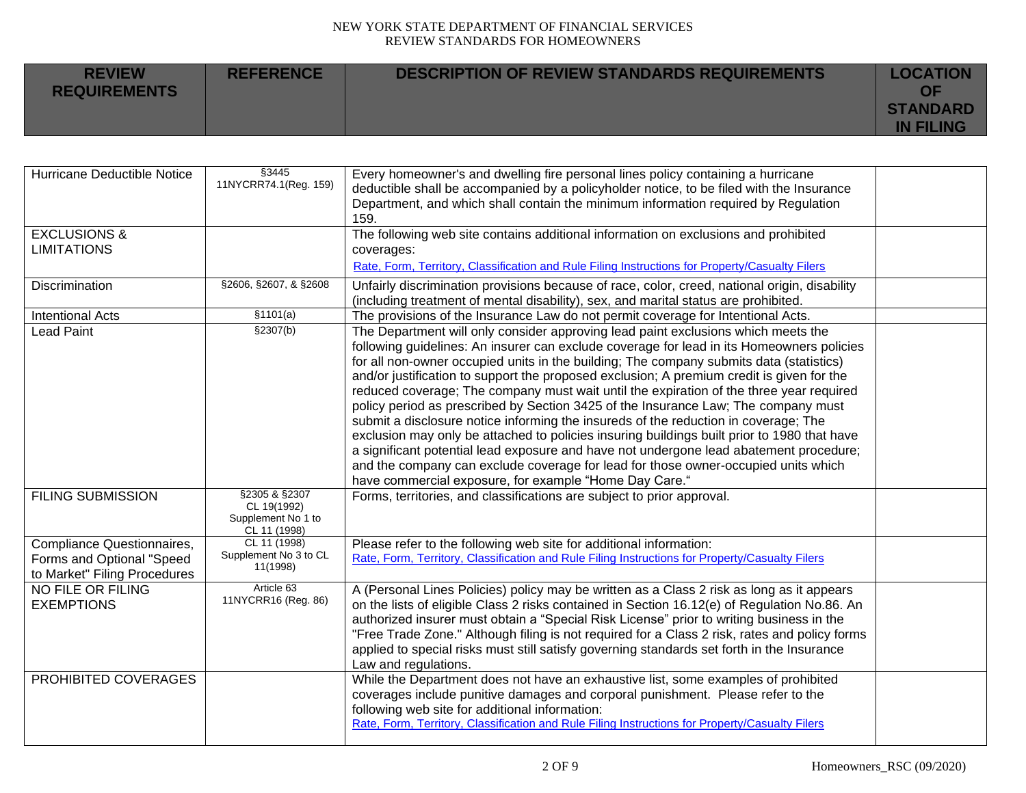| <b>REVIEW</b><br><b>REQUIREMENTS</b> | <b>REFERENCE</b> | DESCRIPTION OF REVIEW STANDARDS REQUIREMENTS | <b>LOCATION</b><br>OF |
|--------------------------------------|------------------|----------------------------------------------|-----------------------|
|                                      |                  |                                              | <b>STANDARD</b>       |
|                                      |                  |                                              | <b>IN FILING</b>      |

| Hurricane Deductible Notice                                                             | §3445<br>11NYCRR74.1(Reg. 159)                                     | Every homeowner's and dwelling fire personal lines policy containing a hurricane<br>deductible shall be accompanied by a policyholder notice, to be filed with the Insurance<br>Department, and which shall contain the minimum information required by Regulation<br>159.                                                                                                                                                                                                                                                                                                                                                                                                                                                                                                                                                                                                                                                                                                              |  |
|-----------------------------------------------------------------------------------------|--------------------------------------------------------------------|-----------------------------------------------------------------------------------------------------------------------------------------------------------------------------------------------------------------------------------------------------------------------------------------------------------------------------------------------------------------------------------------------------------------------------------------------------------------------------------------------------------------------------------------------------------------------------------------------------------------------------------------------------------------------------------------------------------------------------------------------------------------------------------------------------------------------------------------------------------------------------------------------------------------------------------------------------------------------------------------|--|
| <b>EXCLUSIONS &amp;</b>                                                                 |                                                                    | The following web site contains additional information on exclusions and prohibited                                                                                                                                                                                                                                                                                                                                                                                                                                                                                                                                                                                                                                                                                                                                                                                                                                                                                                     |  |
| <b>LIMITATIONS</b>                                                                      |                                                                    | coverages:                                                                                                                                                                                                                                                                                                                                                                                                                                                                                                                                                                                                                                                                                                                                                                                                                                                                                                                                                                              |  |
|                                                                                         |                                                                    | Rate, Form, Territory, Classification and Rule Filing Instructions for Property/Casualty Filers                                                                                                                                                                                                                                                                                                                                                                                                                                                                                                                                                                                                                                                                                                                                                                                                                                                                                         |  |
| Discrimination                                                                          | §2606, §2607, & §2608                                              | Unfairly discrimination provisions because of race, color, creed, national origin, disability<br>(including treatment of mental disability), sex, and marital status are prohibited.                                                                                                                                                                                                                                                                                                                                                                                                                                                                                                                                                                                                                                                                                                                                                                                                    |  |
| <b>Intentional Acts</b>                                                                 | \$1101(a)                                                          | The provisions of the Insurance Law do not permit coverage for Intentional Acts.                                                                                                                                                                                                                                                                                                                                                                                                                                                                                                                                                                                                                                                                                                                                                                                                                                                                                                        |  |
| <b>Lead Paint</b>                                                                       | \$2307(b)                                                          | The Department will only consider approving lead paint exclusions which meets the<br>following guidelines: An insurer can exclude coverage for lead in its Homeowners policies<br>for all non-owner occupied units in the building; The company submits data (statistics)<br>and/or justification to support the proposed exclusion; A premium credit is given for the<br>reduced coverage; The company must wait until the expiration of the three year required<br>policy period as prescribed by Section 3425 of the Insurance Law; The company must<br>submit a disclosure notice informing the insureds of the reduction in coverage; The<br>exclusion may only be attached to policies insuring buildings built prior to 1980 that have<br>a significant potential lead exposure and have not undergone lead abatement procedure;<br>and the company can exclude coverage for lead for those owner-occupied units which<br>have commercial exposure, for example "Home Day Care." |  |
| <b>FILING SUBMISSION</b>                                                                | §2305 & §2307<br>CL 19(1992)<br>Supplement No 1 to<br>CL 11 (1998) | Forms, territories, and classifications are subject to prior approval.                                                                                                                                                                                                                                                                                                                                                                                                                                                                                                                                                                                                                                                                                                                                                                                                                                                                                                                  |  |
| Compliance Questionnaires,<br>Forms and Optional "Speed<br>to Market" Filing Procedures | CL 11 (1998)<br>Supplement No 3 to CL<br>11(1998)                  | Please refer to the following web site for additional information:<br>Rate, Form, Territory, Classification and Rule Filing Instructions for Property/Casualty Filers                                                                                                                                                                                                                                                                                                                                                                                                                                                                                                                                                                                                                                                                                                                                                                                                                   |  |
| NO FILE OR FILING<br><b>EXEMPTIONS</b>                                                  | Article 63<br>11NYCRR16 (Reg. 86)                                  | A (Personal Lines Policies) policy may be written as a Class 2 risk as long as it appears<br>on the lists of eligible Class 2 risks contained in Section 16.12(e) of Regulation No.86. An<br>authorized insurer must obtain a "Special Risk License" prior to writing business in the<br>"Free Trade Zone." Although filing is not required for a Class 2 risk, rates and policy forms<br>applied to special risks must still satisfy governing standards set forth in the Insurance<br>Law and regulations.                                                                                                                                                                                                                                                                                                                                                                                                                                                                            |  |
| PROHIBITED COVERAGES                                                                    |                                                                    | While the Department does not have an exhaustive list, some examples of prohibited<br>coverages include punitive damages and corporal punishment. Please refer to the<br>following web site for additional information:<br>Rate, Form, Territory, Classification and Rule Filing Instructions for Property/Casualty Filers                                                                                                                                                                                                                                                                                                                                                                                                                                                                                                                                                                                                                                                              |  |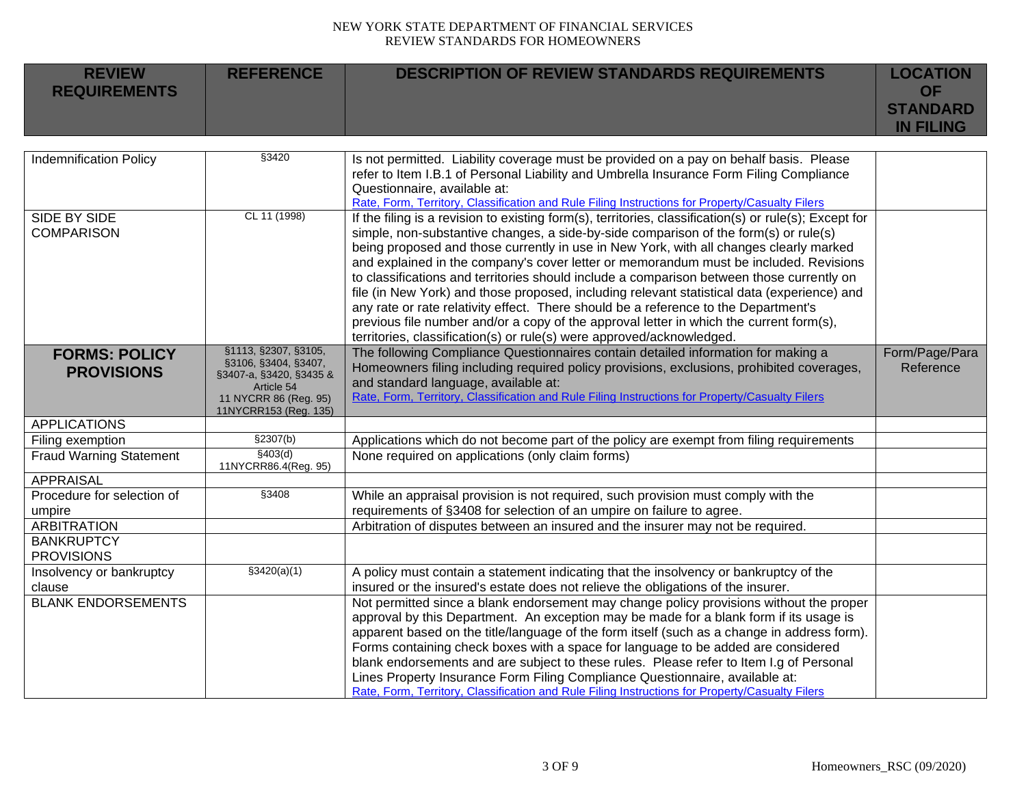| <b>REVIEW</b><br><b>REQUIREMENTS</b>                                                                | <b>REFERENCE</b>                                                                                                                        | <b>DESCRIPTION OF REVIEW STANDARDS REQUIREMENTS</b>                                                                                                                                                                                                                                                                                                                                                                                                                                                                                                                                                                                                                                                                                                                                                                                      | <b>LOCATION</b><br><b>OF</b><br><b>STANDARD</b> |
|-----------------------------------------------------------------------------------------------------|-----------------------------------------------------------------------------------------------------------------------------------------|------------------------------------------------------------------------------------------------------------------------------------------------------------------------------------------------------------------------------------------------------------------------------------------------------------------------------------------------------------------------------------------------------------------------------------------------------------------------------------------------------------------------------------------------------------------------------------------------------------------------------------------------------------------------------------------------------------------------------------------------------------------------------------------------------------------------------------------|-------------------------------------------------|
|                                                                                                     |                                                                                                                                         |                                                                                                                                                                                                                                                                                                                                                                                                                                                                                                                                                                                                                                                                                                                                                                                                                                          | <b>IN FILING</b>                                |
| <b>Indemnification Policy</b>                                                                       | §3420                                                                                                                                   | Is not permitted. Liability coverage must be provided on a pay on behalf basis. Please<br>refer to Item I.B.1 of Personal Liability and Umbrella Insurance Form Filing Compliance<br>Questionnaire, available at:<br>Rate, Form, Territory, Classification and Rule Filing Instructions for Property/Casualty Filers                                                                                                                                                                                                                                                                                                                                                                                                                                                                                                                     |                                                 |
| SIDE BY SIDE<br><b>COMPARISON</b>                                                                   | CL 11 (1998)                                                                                                                            | If the filing is a revision to existing form(s), territories, classification(s) or rule(s); Except for<br>simple, non-substantive changes, a side-by-side comparison of the form(s) or rule(s)<br>being proposed and those currently in use in New York, with all changes clearly marked<br>and explained in the company's cover letter or memorandum must be included. Revisions<br>to classifications and territories should include a comparison between those currently on<br>file (in New York) and those proposed, including relevant statistical data (experience) and<br>any rate or rate relativity effect. There should be a reference to the Department's<br>previous file number and/or a copy of the approval letter in which the current form(s),<br>territories, classification(s) or rule(s) were approved/acknowledged. |                                                 |
| <b>FORMS: POLICY</b><br><b>PROVISIONS</b>                                                           | §1113, §2307, §3105,<br>§3106, §3404, §3407,<br>§3407-a, §3420, §3435 &<br>Article 54<br>11 NYCRR 86 (Reg. 95)<br>11NYCRR153 (Reg. 135) | The following Compliance Questionnaires contain detailed information for making a<br>Homeowners filing including required policy provisions, exclusions, prohibited coverages,<br>and standard language, available at:<br>Rate, Form, Territory, Classification and Rule Filing Instructions for Property/Casualty Filers                                                                                                                                                                                                                                                                                                                                                                                                                                                                                                                | Form/Page/Para<br>Reference                     |
| <b>APPLICATIONS</b>                                                                                 |                                                                                                                                         |                                                                                                                                                                                                                                                                                                                                                                                                                                                                                                                                                                                                                                                                                                                                                                                                                                          |                                                 |
| Filing exemption                                                                                    | §2307(b)                                                                                                                                | Applications which do not become part of the policy are exempt from filing requirements                                                                                                                                                                                                                                                                                                                                                                                                                                                                                                                                                                                                                                                                                                                                                  |                                                 |
| <b>Fraud Warning Statement</b>                                                                      | §403(d)<br>11NYCRR86.4(Reg. 95)                                                                                                         | None required on applications (only claim forms)                                                                                                                                                                                                                                                                                                                                                                                                                                                                                                                                                                                                                                                                                                                                                                                         |                                                 |
| <b>APPRAISAL</b><br>Procedure for selection of<br>umpire<br><b>ARBITRATION</b><br><b>BANKRUPTCY</b> | §3408                                                                                                                                   | While an appraisal provision is not required, such provision must comply with the<br>requirements of §3408 for selection of an umpire on failure to agree.<br>Arbitration of disputes between an insured and the insurer may not be required.                                                                                                                                                                                                                                                                                                                                                                                                                                                                                                                                                                                            |                                                 |
| <b>PROVISIONS</b>                                                                                   |                                                                                                                                         |                                                                                                                                                                                                                                                                                                                                                                                                                                                                                                                                                                                                                                                                                                                                                                                                                                          |                                                 |
| Insolvency or bankruptcy<br>clause                                                                  | $\sqrt{3420(a)(1)}$                                                                                                                     | A policy must contain a statement indicating that the insolvency or bankruptcy of the<br>insured or the insured's estate does not relieve the obligations of the insurer.                                                                                                                                                                                                                                                                                                                                                                                                                                                                                                                                                                                                                                                                |                                                 |
| <b>BLANK ENDORSEMENTS</b>                                                                           |                                                                                                                                         | Not permitted since a blank endorsement may change policy provisions without the proper<br>approval by this Department. An exception may be made for a blank form if its usage is<br>apparent based on the title/language of the form itself (such as a change in address form).<br>Forms containing check boxes with a space for language to be added are considered<br>blank endorsements and are subject to these rules. Please refer to Item I.g of Personal<br>Lines Property Insurance Form Filing Compliance Questionnaire, available at:<br>Rate, Form, Territory, Classification and Rule Filing Instructions for Property/Casualty Filers                                                                                                                                                                                      |                                                 |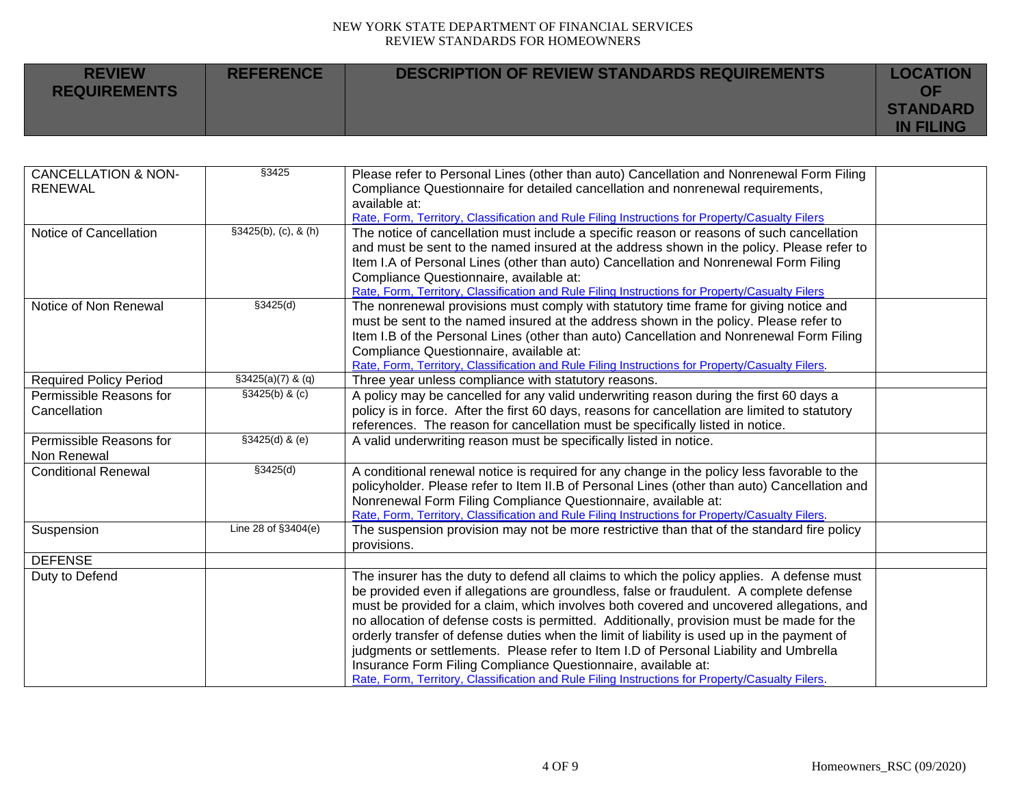| <b>REVIEW</b><br><b>REQUIREMENTS</b> | <b>REFERENCE</b> | DESCRIPTION OF REVIEW STANDARDS REQUIREMENTS | <b>LOCATION</b><br>ΟF               |
|--------------------------------------|------------------|----------------------------------------------|-------------------------------------|
|                                      |                  |                                              | <b>STANDARD</b><br><b>IN FILING</b> |

| <b>CANCELLATION &amp; NON-</b> | \$3425               | Please refer to Personal Lines (other than auto) Cancellation and Nonrenewal Form Filing         |  |
|--------------------------------|----------------------|--------------------------------------------------------------------------------------------------|--|
| <b>RENEWAL</b>                 |                      | Compliance Questionnaire for detailed cancellation and nonrenewal requirements,                  |  |
|                                |                      | available at:                                                                                    |  |
|                                |                      | Rate, Form, Territory, Classification and Rule Filing Instructions for Property/Casualty Filers  |  |
| Notice of Cancellation         | \$3425(b), (c), 8(h) | The notice of cancellation must include a specific reason or reasons of such cancellation        |  |
|                                |                      | and must be sent to the named insured at the address shown in the policy. Please refer to        |  |
|                                |                      | Item I.A of Personal Lines (other than auto) Cancellation and Nonrenewal Form Filing             |  |
|                                |                      | Compliance Questionnaire, available at:                                                          |  |
|                                |                      | Rate, Form, Territory, Classification and Rule Filing Instructions for Property/Casualty Filers  |  |
| Notice of Non Renewal          | \$3425(d)            | The nonrenewal provisions must comply with statutory time frame for giving notice and            |  |
|                                |                      | must be sent to the named insured at the address shown in the policy. Please refer to            |  |
|                                |                      | Item I.B of the Personal Lines (other than auto) Cancellation and Nonrenewal Form Filing         |  |
|                                |                      | Compliance Questionnaire, available at:                                                          |  |
|                                |                      | Rate, Form, Territory, Classification and Rule Filing Instructions for Property/Casualty Filers. |  |
| <b>Required Policy Period</b>  | $$3425(a)(7)$ & (q)  | Three year unless compliance with statutory reasons.                                             |  |
| Permissible Reasons for        | \$3425(b) & (c)      | A policy may be cancelled for any valid underwriting reason during the first 60 days a           |  |
| Cancellation                   |                      | policy is in force. After the first 60 days, reasons for cancellation are limited to statutory   |  |
|                                |                      | references. The reason for cancellation must be specifically listed in notice.                   |  |
| Permissible Reasons for        | §3425(d) & (e)       | A valid underwriting reason must be specifically listed in notice.                               |  |
| Non Renewal                    |                      |                                                                                                  |  |
| <b>Conditional Renewal</b>     | \$3425(d)            | A conditional renewal notice is required for any change in the policy less favorable to the      |  |
|                                |                      | policyholder. Please refer to Item II.B of Personal Lines (other than auto) Cancellation and     |  |
|                                |                      | Nonrenewal Form Filing Compliance Questionnaire, available at:                                   |  |
|                                |                      | Rate, Form, Territory, Classification and Rule Filing Instructions for Property/Casualty Filers. |  |
| Suspension                     | Line 28 of §3404(e)  | The suspension provision may not be more restrictive than that of the standard fire policy       |  |
|                                |                      | provisions.                                                                                      |  |
| <b>DEFENSE</b>                 |                      |                                                                                                  |  |
| Duty to Defend                 |                      | The insurer has the duty to defend all claims to which the policy applies. A defense must        |  |
|                                |                      | be provided even if allegations are groundless, false or fraudulent. A complete defense          |  |
|                                |                      | must be provided for a claim, which involves both covered and uncovered allegations, and         |  |
|                                |                      | no allocation of defense costs is permitted. Additionally, provision must be made for the        |  |
|                                |                      | orderly transfer of defense duties when the limit of liability is used up in the payment of      |  |
|                                |                      | judgments or settlements. Please refer to Item I.D of Personal Liability and Umbrella            |  |
|                                |                      | Insurance Form Filing Compliance Questionnaire, available at:                                    |  |
|                                |                      | Rate, Form, Territory, Classification and Rule Filing Instructions for Property/Casualty Filers. |  |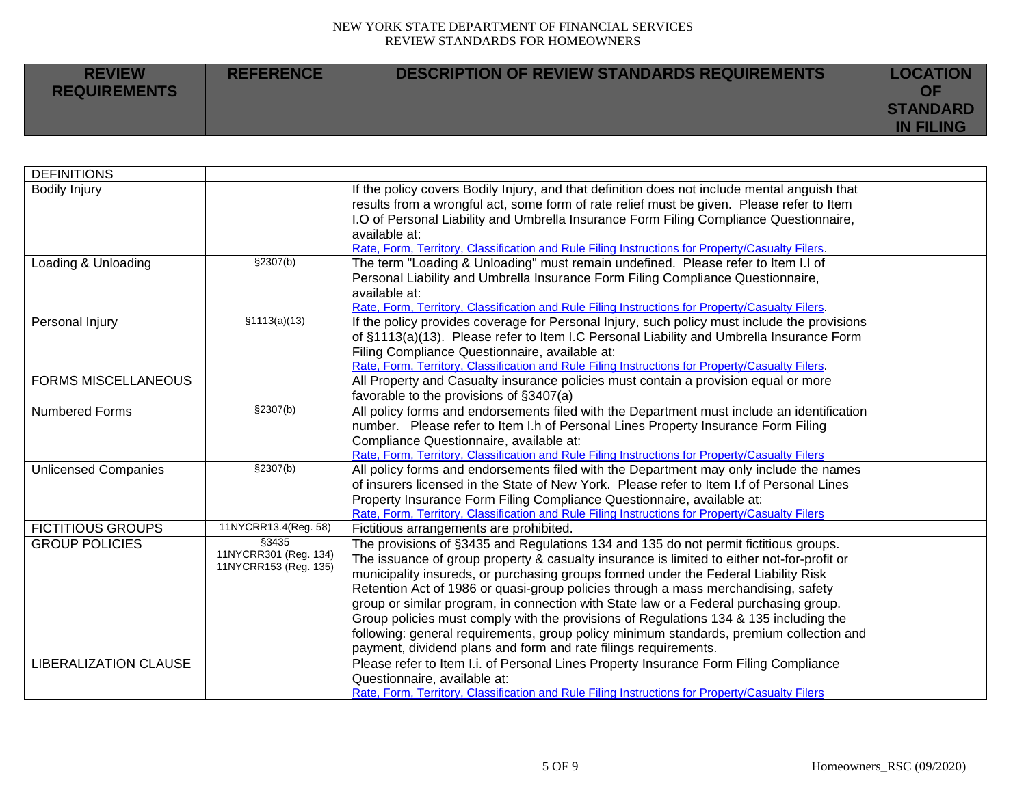| <b>REVIEW</b><br><b>REQUIREMENTS</b> | <b>REFERENCE</b> | DESCRIPTION OF REVIEW STANDARDS REQUIREMENTS | <b>LOCATION</b><br>OF               |
|--------------------------------------|------------------|----------------------------------------------|-------------------------------------|
|                                      |                  |                                              | <b>STANDARD</b><br><b>IN FILING</b> |

| <b>DEFINITIONS</b>           |                                                |                                                                                                  |  |
|------------------------------|------------------------------------------------|--------------------------------------------------------------------------------------------------|--|
| <b>Bodily Injury</b>         |                                                | If the policy covers Bodily Injury, and that definition does not include mental anguish that     |  |
|                              |                                                | results from a wrongful act, some form of rate relief must be given. Please refer to Item        |  |
|                              |                                                | I.O of Personal Liability and Umbrella Insurance Form Filing Compliance Questionnaire,           |  |
|                              |                                                | available at:                                                                                    |  |
|                              |                                                | Rate, Form, Territory, Classification and Rule Filing Instructions for Property/Casualty Filers. |  |
| Loading & Unloading          | §2307(b)                                       | The term "Loading & Unloading" must remain undefined. Please refer to Item I.I of                |  |
|                              |                                                | Personal Liability and Umbrella Insurance Form Filing Compliance Questionnaire,                  |  |
|                              |                                                | available at:                                                                                    |  |
|                              |                                                | Rate, Form, Territory, Classification and Rule Filing Instructions for Property/Casualty Filers. |  |
| Personal Injury              | \$1113(a)(13)                                  | If the policy provides coverage for Personal Injury, such policy must include the provisions     |  |
|                              |                                                | of §1113(a)(13). Please refer to Item I.C Personal Liability and Umbrella Insurance Form         |  |
|                              |                                                | Filing Compliance Questionnaire, available at:                                                   |  |
|                              |                                                | Rate, Form, Territory, Classification and Rule Filing Instructions for Property/Casualty Filers. |  |
| <b>FORMS MISCELLANEOUS</b>   |                                                | All Property and Casualty insurance policies must contain a provision equal or more              |  |
|                              |                                                | favorable to the provisions of §3407(a)                                                          |  |
| Numbered Forms               | \$2307(b)                                      | All policy forms and endorsements filed with the Department must include an identification       |  |
|                              |                                                | number. Please refer to Item I.h of Personal Lines Property Insurance Form Filing                |  |
|                              |                                                | Compliance Questionnaire, available at:                                                          |  |
|                              |                                                | Rate, Form, Territory, Classification and Rule Filing Instructions for Property/Casualty Filers  |  |
| <b>Unlicensed Companies</b>  | §2307(b)                                       | All policy forms and endorsements filed with the Department may only include the names           |  |
|                              |                                                | of insurers licensed in the State of New York. Please refer to Item I.f of Personal Lines        |  |
|                              |                                                | Property Insurance Form Filing Compliance Questionnaire, available at:                           |  |
|                              |                                                | Rate, Form, Territory, Classification and Rule Filing Instructions for Property/Casualty Filers  |  |
| <b>FICTITIOUS GROUPS</b>     | 11NYCRR13.4(Reg. 58)                           | Fictitious arrangements are prohibited.                                                          |  |
| <b>GROUP POLICIES</b>        | §3435                                          | The provisions of §3435 and Regulations 134 and 135 do not permit fictitious groups.             |  |
|                              | 11NYCRR301 (Reg. 134)<br>11NYCRR153 (Reg. 135) | The issuance of group property & casualty insurance is limited to either not-for-profit or       |  |
|                              |                                                | municipality insureds, or purchasing groups formed under the Federal Liability Risk              |  |
|                              |                                                | Retention Act of 1986 or quasi-group policies through a mass merchandising, safety               |  |
|                              |                                                | group or similar program, in connection with State law or a Federal purchasing group.            |  |
|                              |                                                | Group policies must comply with the provisions of Regulations 134 & 135 including the            |  |
|                              |                                                | following: general requirements, group policy minimum standards, premium collection and          |  |
|                              |                                                | payment, dividend plans and form and rate filings requirements.                                  |  |
| <b>LIBERALIZATION CLAUSE</b> |                                                | Please refer to Item I.i. of Personal Lines Property Insurance Form Filing Compliance            |  |
|                              |                                                | Questionnaire, available at:                                                                     |  |
|                              |                                                | Rate, Form, Territory, Classification and Rule Filing Instructions for Property/Casualty Filers  |  |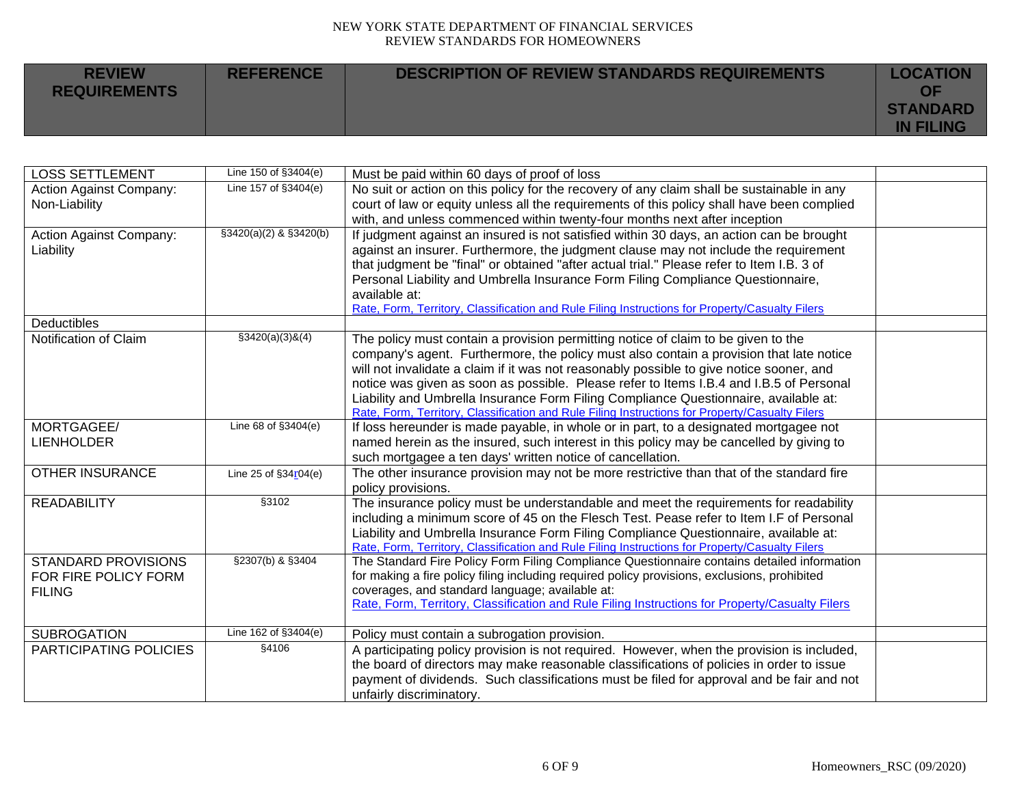| <b>REVIEW</b><br><b>REQUIREMENTS</b> | <b>REFERENCE</b> | DESCRIPTION OF REVIEW STANDARDS REQUIREMENTS | <b>LOCATION</b><br>ΟF               |
|--------------------------------------|------------------|----------------------------------------------|-------------------------------------|
|                                      |                  |                                              | <b>STANDARD</b><br><b>IN FILING</b> |

| <b>LOSS SETTLEMENT</b>         | Line 150 of §3404(e)       | Must be paid within 60 days of proof of loss                                                                                                                                                   |  |
|--------------------------------|----------------------------|------------------------------------------------------------------------------------------------------------------------------------------------------------------------------------------------|--|
| <b>Action Against Company:</b> | Line 157 of §3404(e)       | No suit or action on this policy for the recovery of any claim shall be sustainable in any                                                                                                     |  |
| Non-Liability                  |                            | court of law or equity unless all the requirements of this policy shall have been complied                                                                                                     |  |
| <b>Action Against Company:</b> | $$3420(a)(2)$ & $$3420(b)$ | with, and unless commenced within twenty-four months next after inception<br>If judgment against an insured is not satisfied within 30 days, an action can be brought                          |  |
| Liability                      |                            | against an insurer. Furthermore, the judgment clause may not include the requirement                                                                                                           |  |
|                                |                            | that judgment be "final" or obtained "after actual trial." Please refer to Item I.B. 3 of                                                                                                      |  |
|                                |                            | Personal Liability and Umbrella Insurance Form Filing Compliance Questionnaire,                                                                                                                |  |
|                                |                            | available at:                                                                                                                                                                                  |  |
|                                |                            | Rate, Form, Territory, Classification and Rule Filing Instructions for Property/Casualty Filers                                                                                                |  |
| Deductibles                    |                            |                                                                                                                                                                                                |  |
| Notification of Claim          | $$3420(a)(3)$ &(4)         | The policy must contain a provision permitting notice of claim to be given to the                                                                                                              |  |
|                                |                            | company's agent. Furthermore, the policy must also contain a provision that late notice                                                                                                        |  |
|                                |                            | will not invalidate a claim if it was not reasonably possible to give notice sooner, and<br>notice was given as soon as possible. Please refer to Items I.B.4 and I.B.5 of Personal            |  |
|                                |                            | Liability and Umbrella Insurance Form Filing Compliance Questionnaire, available at:                                                                                                           |  |
|                                |                            | Rate, Form, Territory, Classification and Rule Filing Instructions for Property/Casualty Filers                                                                                                |  |
| MORTGAGEE/                     | Line 68 of §3404(e)        | If loss hereunder is made payable, in whole or in part, to a designated mortgagee not                                                                                                          |  |
| <b>LIENHOLDER</b>              |                            | named herein as the insured, such interest in this policy may be cancelled by giving to                                                                                                        |  |
|                                |                            | such mortgagee a ten days' written notice of cancellation.                                                                                                                                     |  |
| <b>OTHER INSURANCE</b>         | Line 25 of $§34r04(e)$     | The other insurance provision may not be more restrictive than that of the standard fire                                                                                                       |  |
|                                |                            | policy provisions.                                                                                                                                                                             |  |
| <b>READABILITY</b>             | \$3102                     | The insurance policy must be understandable and meet the requirements for readability                                                                                                          |  |
|                                |                            | including a minimum score of 45 on the Flesch Test. Pease refer to Item I.F of Personal                                                                                                        |  |
|                                |                            | Liability and Umbrella Insurance Form Filing Compliance Questionnaire, available at:                                                                                                           |  |
| <b>STANDARD PROVISIONS</b>     | §2307(b) & §3404           | Rate, Form, Territory, Classification and Rule Filing Instructions for Property/Casualty Filers<br>The Standard Fire Policy Form Filing Compliance Questionnaire contains detailed information |  |
| FOR FIRE POLICY FORM           |                            | for making a fire policy filing including required policy provisions, exclusions, prohibited                                                                                                   |  |
| <b>FILING</b>                  |                            | coverages, and standard language; available at:                                                                                                                                                |  |
|                                |                            | Rate, Form, Territory, Classification and Rule Filing Instructions for Property/Casualty Filers                                                                                                |  |
|                                |                            |                                                                                                                                                                                                |  |
| <b>SUBROGATION</b>             | Line 162 of §3404(e)       | Policy must contain a subrogation provision.                                                                                                                                                   |  |
| PARTICIPATING POLICIES         | §4106                      | A participating policy provision is not required. However, when the provision is included,                                                                                                     |  |
|                                |                            | the board of directors may make reasonable classifications of policies in order to issue                                                                                                       |  |
|                                |                            | payment of dividends. Such classifications must be filed for approval and be fair and not                                                                                                      |  |
|                                |                            | unfairly discriminatory.                                                                                                                                                                       |  |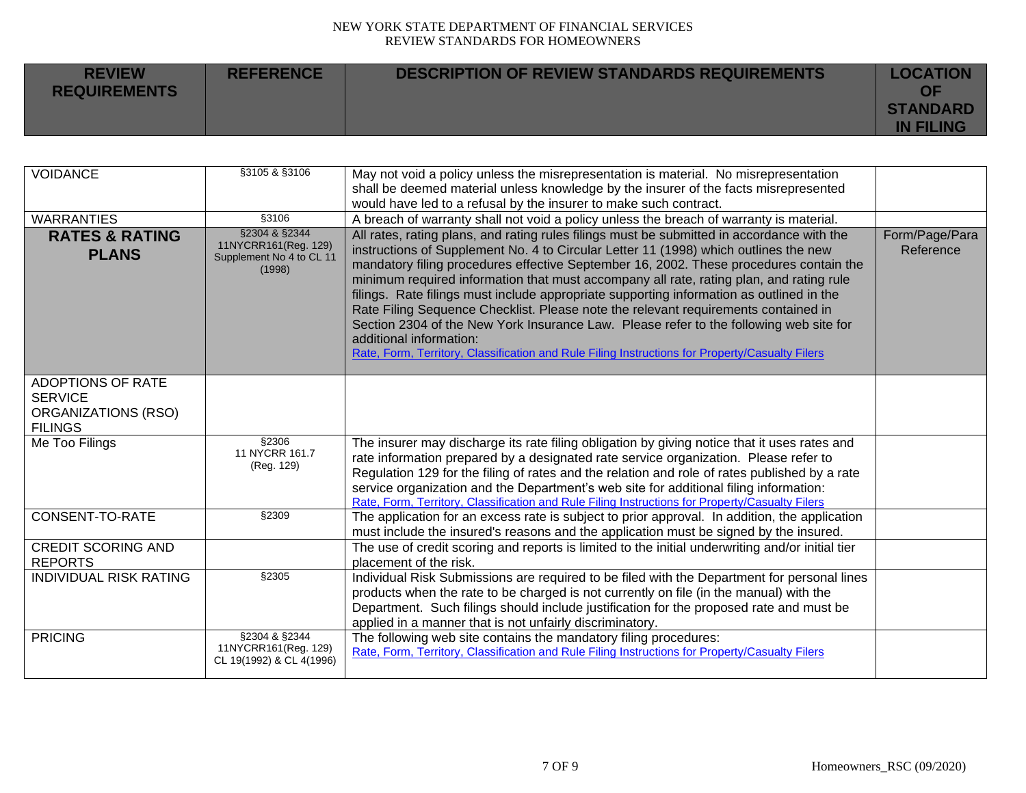| <b>REVIEW</b><br><b>REQUIREMENTS</b> | <b>REFERENCE</b> | <b>DESCRIPTION OF REVIEW STANDARDS REQUIREMENTS</b> | <b>LOCATION</b><br>ΟF               |
|--------------------------------------|------------------|-----------------------------------------------------|-------------------------------------|
|                                      |                  |                                                     | <b>STANDARD</b><br><b>IN FILING</b> |

| <b>VOIDANCE</b>                                                                            | §3105 & §3106                                                               | May not void a policy unless the misrepresentation is material. No misrepresentation<br>shall be deemed material unless knowledge by the insurer of the facts misrepresented<br>would have led to a refusal by the insurer to make such contract.                                                                                                                                                                                                                                                                                                                                                                                                                                                                                                                                 |                             |
|--------------------------------------------------------------------------------------------|-----------------------------------------------------------------------------|-----------------------------------------------------------------------------------------------------------------------------------------------------------------------------------------------------------------------------------------------------------------------------------------------------------------------------------------------------------------------------------------------------------------------------------------------------------------------------------------------------------------------------------------------------------------------------------------------------------------------------------------------------------------------------------------------------------------------------------------------------------------------------------|-----------------------------|
| <b>WARRANTIES</b>                                                                          | \$3106                                                                      | A breach of warranty shall not void a policy unless the breach of warranty is material.                                                                                                                                                                                                                                                                                                                                                                                                                                                                                                                                                                                                                                                                                           |                             |
| <b>RATES &amp; RATING</b><br><b>PLANS</b>                                                  | §2304 & §2344<br>11NYCRR161(Reg. 129)<br>Supplement No 4 to CL 11<br>(1998) | All rates, rating plans, and rating rules filings must be submitted in accordance with the<br>instructions of Supplement No. 4 to Circular Letter 11 (1998) which outlines the new<br>mandatory filing procedures effective September 16, 2002. These procedures contain the<br>minimum required information that must accompany all rate, rating plan, and rating rule<br>filings. Rate filings must include appropriate supporting information as outlined in the<br>Rate Filing Sequence Checklist. Please note the relevant requirements contained in<br>Section 2304 of the New York Insurance Law. Please refer to the following web site for<br>additional information:<br>Rate, Form, Territory, Classification and Rule Filing Instructions for Property/Casualty Filers | Form/Page/Para<br>Reference |
| <b>ADOPTIONS OF RATE</b><br><b>SERVICE</b><br><b>ORGANIZATIONS (RSO)</b><br><b>FILINGS</b> |                                                                             |                                                                                                                                                                                                                                                                                                                                                                                                                                                                                                                                                                                                                                                                                                                                                                                   |                             |
| Me Too Filings                                                                             | §2306<br>11 NYCRR 161.7<br>(Reg. 129)                                       | The insurer may discharge its rate filing obligation by giving notice that it uses rates and<br>rate information prepared by a designated rate service organization. Please refer to<br>Regulation 129 for the filing of rates and the relation and role of rates published by a rate<br>service organization and the Department's web site for additional filing information:<br>Rate, Form, Territory, Classification and Rule Filing Instructions for Property/Casualty Filers                                                                                                                                                                                                                                                                                                 |                             |
| CONSENT-TO-RATE                                                                            | \$2309                                                                      | The application for an excess rate is subject to prior approval. In addition, the application<br>must include the insured's reasons and the application must be signed by the insured.                                                                                                                                                                                                                                                                                                                                                                                                                                                                                                                                                                                            |                             |
| <b>CREDIT SCORING AND</b><br><b>REPORTS</b>                                                |                                                                             | The use of credit scoring and reports is limited to the initial underwriting and/or initial tier<br>placement of the risk.                                                                                                                                                                                                                                                                                                                                                                                                                                                                                                                                                                                                                                                        |                             |
| <b>INDIVIDUAL RISK RATING</b>                                                              | §2305                                                                       | Individual Risk Submissions are required to be filed with the Department for personal lines<br>products when the rate to be charged is not currently on file (in the manual) with the<br>Department. Such filings should include justification for the proposed rate and must be<br>applied in a manner that is not unfairly discriminatory.                                                                                                                                                                                                                                                                                                                                                                                                                                      |                             |
| <b>PRICING</b>                                                                             | §2304 & §2344<br>11NYCRR161(Reg. 129)<br>CL 19(1992) & CL 4(1996)           | The following web site contains the mandatory filing procedures:<br>Rate, Form, Territory, Classification and Rule Filing Instructions for Property/Casualty Filers                                                                                                                                                                                                                                                                                                                                                                                                                                                                                                                                                                                                               |                             |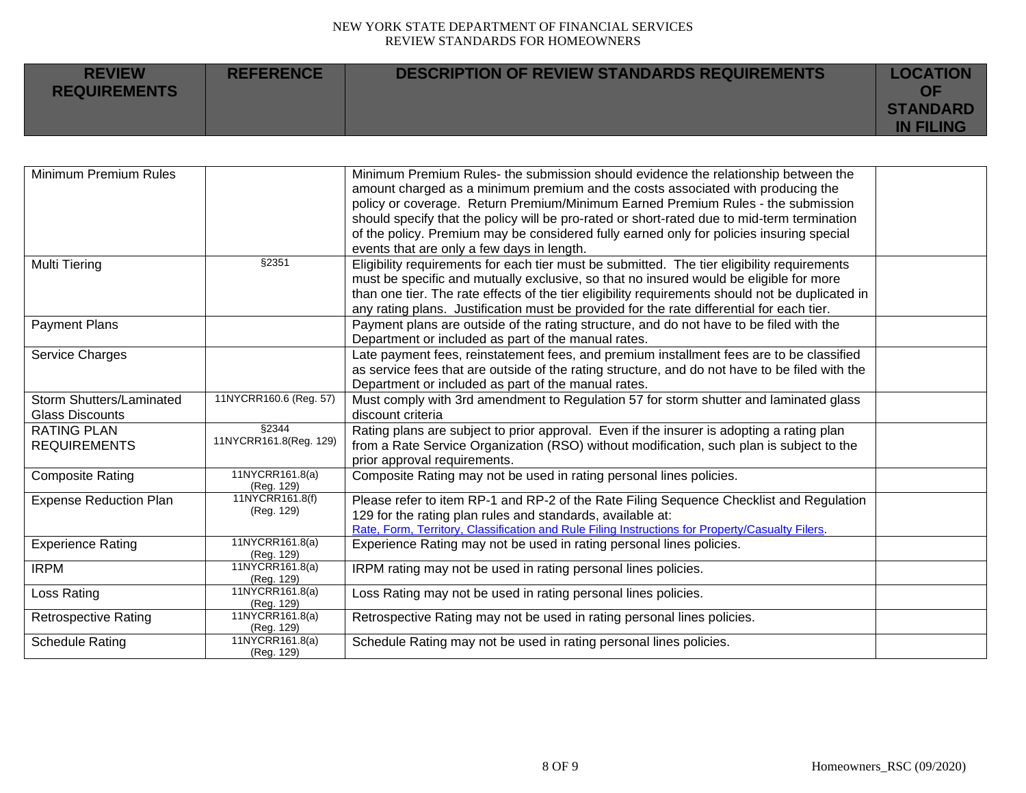| <b>REVIEW</b><br><b>REQUIREMENTS</b> | <b>REFERENCE</b> | <b>DESCRIPTION OF REVIEW STANDARDS REQUIREMENTS</b> | <b>LOCATION</b><br>ΩF               |
|--------------------------------------|------------------|-----------------------------------------------------|-------------------------------------|
|                                      |                  |                                                     | <b>STANDARD</b><br><b>IN FILING</b> |

| amount charged as a minimum premium and the costs associated with producing the<br>policy or coverage. Return Premium/Minimum Earned Premium Rules - the submission<br>should specify that the policy will be pro-rated or short-rated due to mid-term termination |  |
|--------------------------------------------------------------------------------------------------------------------------------------------------------------------------------------------------------------------------------------------------------------------|--|
|                                                                                                                                                                                                                                                                    |  |
|                                                                                                                                                                                                                                                                    |  |
|                                                                                                                                                                                                                                                                    |  |
| of the policy. Premium may be considered fully earned only for policies insuring special                                                                                                                                                                           |  |
| events that are only a few days in length.                                                                                                                                                                                                                         |  |
| §2351<br>Multi Tiering<br>Eligibility requirements for each tier must be submitted. The tier eligibility requirements                                                                                                                                              |  |
| must be specific and mutually exclusive, so that no insured would be eligible for more                                                                                                                                                                             |  |
| than one tier. The rate effects of the tier eligibility requirements should not be duplicated in                                                                                                                                                                   |  |
| any rating plans. Justification must be provided for the rate differential for each tier.                                                                                                                                                                          |  |
| <b>Payment Plans</b><br>Payment plans are outside of the rating structure, and do not have to be filed with the                                                                                                                                                    |  |
| Department or included as part of the manual rates.                                                                                                                                                                                                                |  |
| Late payment fees, reinstatement fees, and premium installment fees are to be classified<br>Service Charges                                                                                                                                                        |  |
| as service fees that are outside of the rating structure, and do not have to be filed with the                                                                                                                                                                     |  |
| Department or included as part of the manual rates.                                                                                                                                                                                                                |  |
| 11NYCRR160.6 (Reg. 57)<br>Must comply with 3rd amendment to Regulation 57 for storm shutter and laminated glass<br><b>Storm Shutters/Laminated</b>                                                                                                                 |  |
| <b>Glass Discounts</b><br>discount criteria                                                                                                                                                                                                                        |  |
| §2344<br><b>RATING PLAN</b><br>Rating plans are subject to prior approval. Even if the insurer is adopting a rating plan                                                                                                                                           |  |
| 11NYCRR161.8(Reg. 129)<br><b>REQUIREMENTS</b><br>from a Rate Service Organization (RSO) without modification, such plan is subject to the                                                                                                                          |  |
| prior approval requirements.                                                                                                                                                                                                                                       |  |
| 11NYCRR161.8(a)<br>Composite Rating may not be used in rating personal lines policies.<br><b>Composite Rating</b><br>(Reg. 129)                                                                                                                                    |  |
| 11NYCRR161.8(f)<br>Please refer to item RP-1 and RP-2 of the Rate Filing Sequence Checklist and Regulation<br><b>Expense Reduction Plan</b>                                                                                                                        |  |
| (Reg. 129)<br>129 for the rating plan rules and standards, available at:                                                                                                                                                                                           |  |
| Rate, Form, Territory, Classification and Rule Filing Instructions for Property/Casualty Filers.                                                                                                                                                                   |  |
| 11NYCRR161.8(a)<br><b>Experience Rating</b><br>Experience Rating may not be used in rating personal lines policies.                                                                                                                                                |  |
| (Reg. 129)                                                                                                                                                                                                                                                         |  |
| 11NYCRR161.8(a)<br><b>IRPM</b><br>IRPM rating may not be used in rating personal lines policies.                                                                                                                                                                   |  |
| (Reg. 129)<br>11NYCRR161.8(a)<br>Loss Rating may not be used in rating personal lines policies.<br>Loss Rating                                                                                                                                                     |  |
| (Reg. 129)                                                                                                                                                                                                                                                         |  |
| 11NYCRR161.8(a)<br>Retrospective Rating may not be used in rating personal lines policies.<br><b>Retrospective Rating</b>                                                                                                                                          |  |
| (Reg. 129)                                                                                                                                                                                                                                                         |  |
| 11NYCRR161.8(a)<br><b>Schedule Rating</b><br>Schedule Rating may not be used in rating personal lines policies.<br>(Reg. 129)                                                                                                                                      |  |